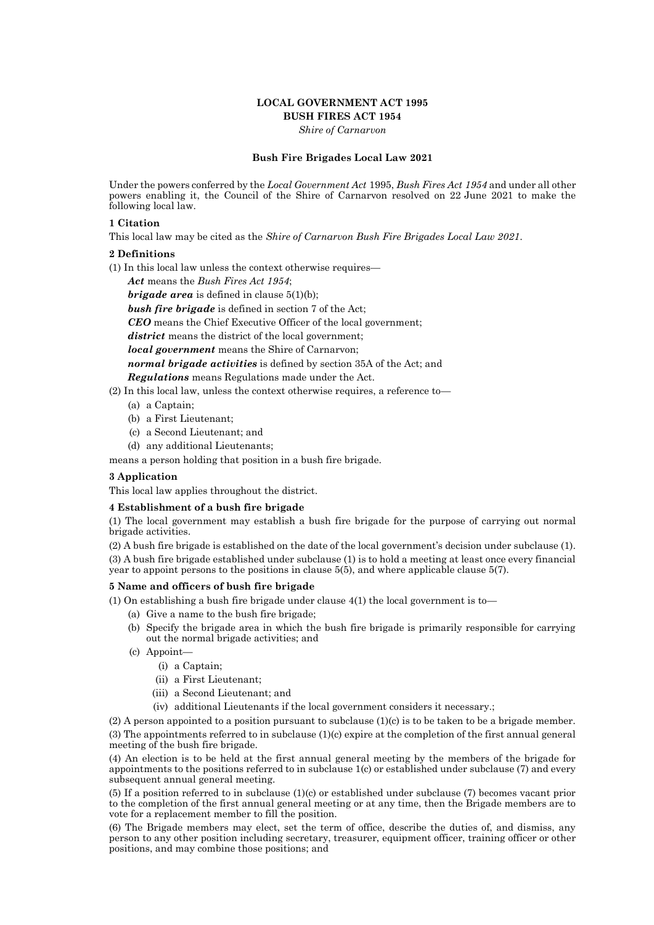## **LOCAL GOVERNMENT ACT 1995 BUSH FIRES ACT 1954**

*Shire of Carnarvon*

### **Bush Fire Brigades Local Law 2021**

Under the powers conferred by the *Local Government Act* 1995, *Bush Fires Act 1954* and under all other powers enabling it, the Council of the Shire of Carnarvon resolved on 22 June 2021 to make the following local law.

## **1 Citation**

This local law may be cited as the *Shire of Carnarvon Bush Fire Brigades Local Law 2021*.

### **2 Definitions**

(1) In this local law unless the context otherwise requires—

*Act* means the *Bush Fires Act 1954*;

*brigade area* is defined in clause 5(1)(b);

*bush fire brigade* is defined in section 7 of the Act;

*CEO* means the Chief Executive Officer of the local government;

*district* means the district of the local government;

*local government* means the Shire of Carnarvon;

*normal brigade activities* is defined by section 35A of the Act; and

*Regulations* means Regulations made under the Act.

- (2) In this local law, unless the context otherwise requires, a reference to—
	- (a) a Captain;
	- (b) a First Lieutenant;
	- (c) a Second Lieutenant; and
	- (d) any additional Lieutenants;

means a person holding that position in a bush fire brigade.

#### **3 Application**

This local law applies throughout the district.

#### **4 Establishment of a bush fire brigade**

(1) The local government may establish a bush fire brigade for the purpose of carrying out normal brigade activities.

(2) A bush fire brigade is established on the date of the local government's decision under subclause (1). (3) A bush fire brigade established under subclause (1) is to hold a meeting at least once every financial year to appoint persons to the positions in clause 5(5), and where applicable clause 5(7).

### **5 Name and officers of bush fire brigade**

(1) On establishing a bush fire brigade under clause  $4(1)$  the local government is to

- (a) Give a name to the bush fire brigade;
- (b) Specify the brigade area in which the bush fire brigade is primarily responsible for carrying out the normal brigade activities; and
- (c) Appoint—
	- (i) a Captain;
	- (ii) a First Lieutenant;
	- (iii) a Second Lieutenant; and
	- (iv) additional Lieutenants if the local government considers it necessary.;

(2) A person appointed to a position pursuant to subclause (1)(c) is to be taken to be a brigade member. (3) The appointments referred to in subclause  $(1)(c)$  expire at the completion of the first annual general

meeting of the bush fire brigade. (4) An election is to be held at the first annual general meeting by the members of the brigade for appointments to the positions referred to in subclause 1(c) or established under subclause (7) and every subsequent annual general meeting.

(5) If a position referred to in subclause (1)(c) or established under subclause (7) becomes vacant prior to the completion of the first annual general meeting or at any time, then the Brigade members are to vote for a replacement member to fill the position.

(6) The Brigade members may elect, set the term of office, describe the duties of, and dismiss, any person to any other position including secretary, treasurer, equipment officer, training officer or other positions, and may combine those positions; and